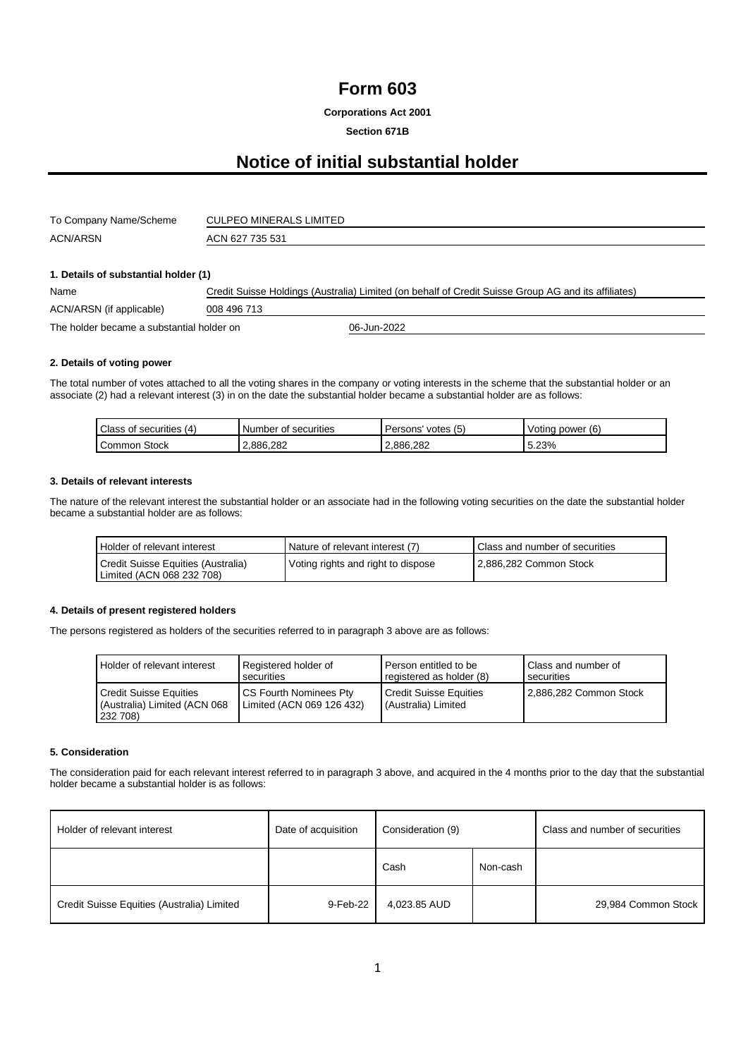# **Form 603**

**Corporations Act 2001**

## **Section 671B**

# **Notice of initial substantial holder**

| To Company Name/Scheme | <b>CULPEO MINERALS LIMITED</b> |
|------------------------|--------------------------------|
| <b>ACN/ARSN</b>        | ACN 627 735 531                |

#### **1. Details of substantial holder (1)**

| Name                                      | Credit Suisse Holdings (Australia) Limited (on behalf of Credit Suisse Group AG and its affiliates) |             |  |  |
|-------------------------------------------|-----------------------------------------------------------------------------------------------------|-------------|--|--|
| ACN/ARSN (if applicable)                  | 008 496 713                                                                                         |             |  |  |
| The holder became a substantial holder on |                                                                                                     | 06-Jun-2022 |  |  |

#### **2. Details of voting power**

The total number of votes attached to all the voting shares in the company or voting interests in the scheme that the substantial holder or an associate (2) had a relevant interest (3) in on the date the substantial holder became a substantial holder are as follows:

| (4)<br>Class of<br>securities | Number<br>securities<br>0t | Persons<br>votes<br>$\overline{6}$ | (6)<br>Voting power |
|-------------------------------|----------------------------|------------------------------------|---------------------|
| Stock<br>Common               | 2.886.282                  | 2.886.282                          | 5.23%               |

#### **3. Details of relevant interests**

The nature of the relevant interest the substantial holder or an associate had in the following voting securities on the date the substantial holder became a substantial holder are as follows:

| Holder of relevant interest                                     | Nature of relevant interest (7)    | Class and number of securities |
|-----------------------------------------------------------------|------------------------------------|--------------------------------|
| Credit Suisse Equities (Australia)<br>Limited (ACN 068 232 708) | Voting rights and right to dispose | 2.886.282 Common Stock         |

## **4. Details of present registered holders**

The persons registered as holders of the securities referred to in paragraph 3 above are as follows:

| Holder of relevant interest                                               | Registered holder of                                | Person entitled to be                                | Class and number of    |
|---------------------------------------------------------------------------|-----------------------------------------------------|------------------------------------------------------|------------------------|
|                                                                           | securities                                          | registered as holder (8)                             | securities             |
| <b>Credit Suisse Equities</b><br>(Australia) Limited (ACN 068<br>232 708) | CS Fourth Nominees Pty<br>Limited (ACN 069 126 432) | <b>Credit Suisse Equities</b><br>(Australia) Limited | 2,886,282 Common Stock |

#### **5. Consideration**

The consideration paid for each relevant interest referred to in paragraph 3 above, and acquired in the 4 months prior to the day that the substantial holder became a substantial holder is as follows:

| Holder of relevant interest                | Date of acquisition | Consideration (9) |          | Class and number of securities |
|--------------------------------------------|---------------------|-------------------|----------|--------------------------------|
|                                            |                     | Cash              | Non-cash |                                |
| Credit Suisse Equities (Australia) Limited | 9-Feb-22            | 4,023.85 AUD      |          | 29,984 Common Stock            |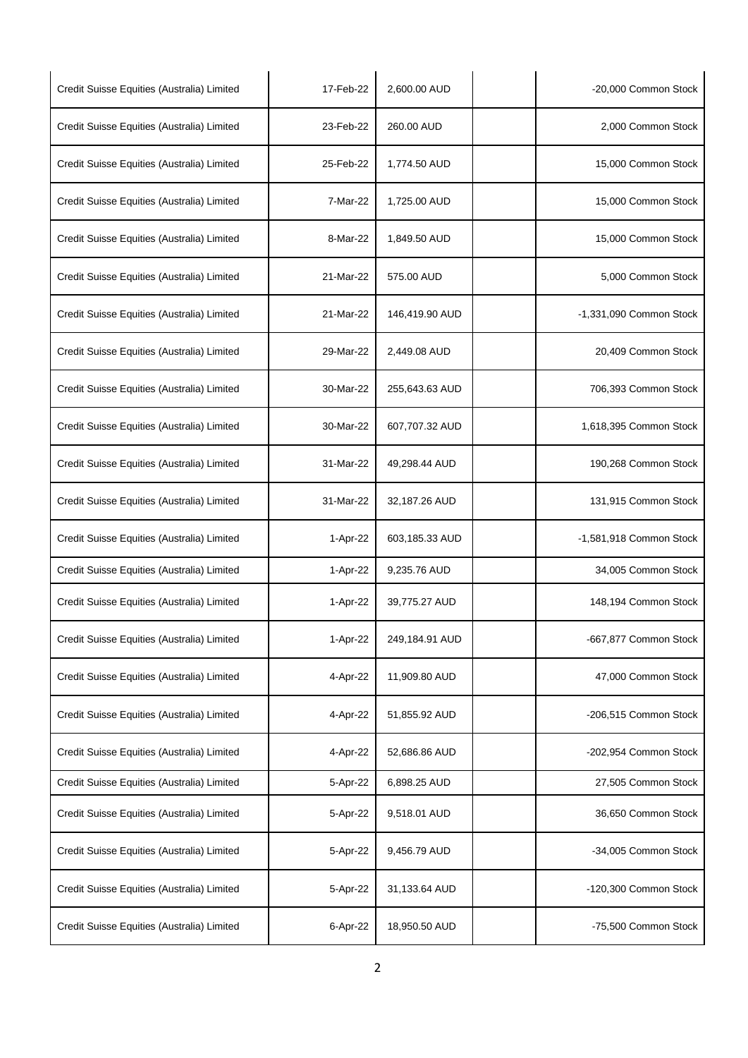| Credit Suisse Equities (Australia) Limited | 17-Feb-22 | 2,600.00 AUD   | -20,000 Common Stock    |
|--------------------------------------------|-----------|----------------|-------------------------|
| Credit Suisse Equities (Australia) Limited | 23-Feb-22 | 260.00 AUD     | 2,000 Common Stock      |
| Credit Suisse Equities (Australia) Limited | 25-Feb-22 | 1,774.50 AUD   | 15,000 Common Stock     |
| Credit Suisse Equities (Australia) Limited | 7-Mar-22  | 1,725.00 AUD   | 15,000 Common Stock     |
| Credit Suisse Equities (Australia) Limited | 8-Mar-22  | 1,849.50 AUD   | 15,000 Common Stock     |
| Credit Suisse Equities (Australia) Limited | 21-Mar-22 | 575.00 AUD     | 5,000 Common Stock      |
| Credit Suisse Equities (Australia) Limited | 21-Mar-22 | 146,419.90 AUD | -1,331,090 Common Stock |
| Credit Suisse Equities (Australia) Limited | 29-Mar-22 | 2,449.08 AUD   | 20,409 Common Stock     |
| Credit Suisse Equities (Australia) Limited | 30-Mar-22 | 255,643.63 AUD | 706,393 Common Stock    |
| Credit Suisse Equities (Australia) Limited | 30-Mar-22 | 607,707.32 AUD | 1,618,395 Common Stock  |
| Credit Suisse Equities (Australia) Limited | 31-Mar-22 | 49,298.44 AUD  | 190,268 Common Stock    |
| Credit Suisse Equities (Australia) Limited | 31-Mar-22 | 32,187.26 AUD  | 131,915 Common Stock    |
| Credit Suisse Equities (Australia) Limited | 1-Apr-22  | 603,185.33 AUD | -1,581,918 Common Stock |
| Credit Suisse Equities (Australia) Limited | 1-Apr-22  | 9,235.76 AUD   | 34,005 Common Stock     |
| Credit Suisse Equities (Australia) Limited | 1-Apr-22  | 39,775.27 AUD  | 148,194 Common Stock    |
| Credit Suisse Equities (Australia) Limited | 1-Apr-22  | 249,184.91 AUD | -667,877 Common Stock   |
| Credit Suisse Equities (Australia) Limited | 4-Apr-22  | 11,909.80 AUD  | 47,000 Common Stock     |
| Credit Suisse Equities (Australia) Limited | 4-Apr-22  | 51,855.92 AUD  | -206,515 Common Stock   |
| Credit Suisse Equities (Australia) Limited | 4-Apr-22  | 52,686.86 AUD  | -202,954 Common Stock   |
| Credit Suisse Equities (Australia) Limited | 5-Apr-22  | 6,898.25 AUD   | 27,505 Common Stock     |
| Credit Suisse Equities (Australia) Limited | 5-Apr-22  | 9,518.01 AUD   | 36,650 Common Stock     |
| Credit Suisse Equities (Australia) Limited | 5-Apr-22  | 9,456.79 AUD   | -34,005 Common Stock    |
| Credit Suisse Equities (Australia) Limited | 5-Apr-22  | 31,133.64 AUD  | -120,300 Common Stock   |
| Credit Suisse Equities (Australia) Limited | 6-Apr-22  | 18,950.50 AUD  | -75,500 Common Stock    |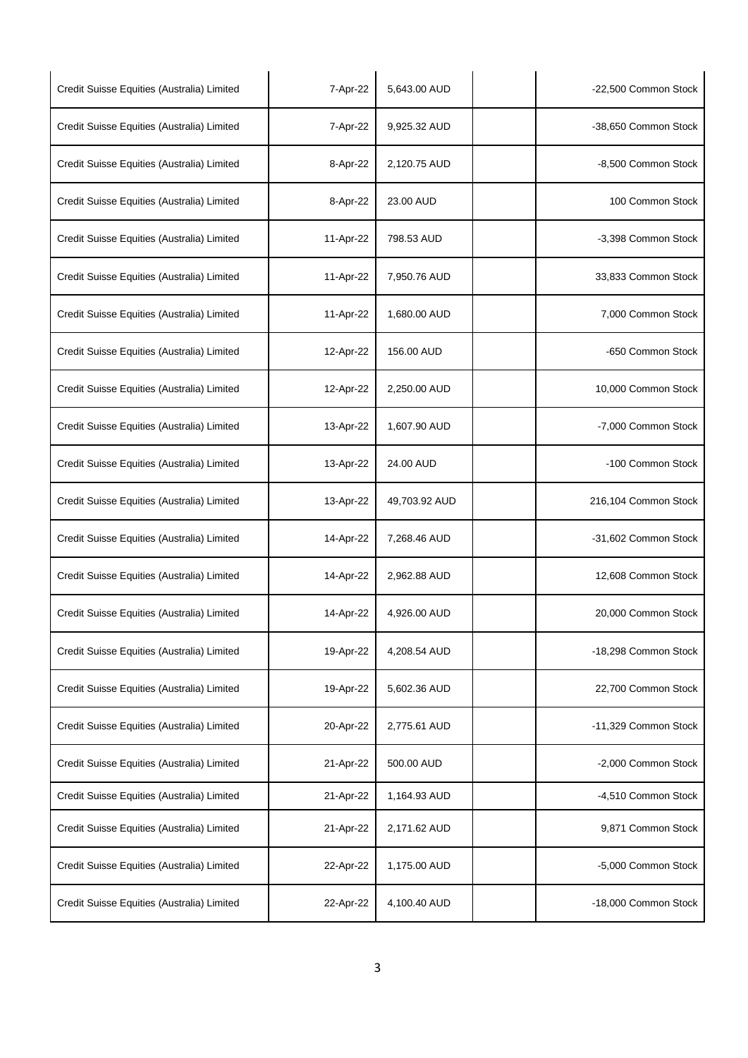| Credit Suisse Equities (Australia) Limited | 7-Apr-22  | 5,643.00 AUD  | -22,500 Common Stock |
|--------------------------------------------|-----------|---------------|----------------------|
| Credit Suisse Equities (Australia) Limited | 7-Apr-22  | 9,925.32 AUD  | -38,650 Common Stock |
| Credit Suisse Equities (Australia) Limited | 8-Apr-22  | 2,120.75 AUD  | -8,500 Common Stock  |
| Credit Suisse Equities (Australia) Limited | 8-Apr-22  | 23.00 AUD     | 100 Common Stock     |
| Credit Suisse Equities (Australia) Limited | 11-Apr-22 | 798.53 AUD    | -3,398 Common Stock  |
| Credit Suisse Equities (Australia) Limited | 11-Apr-22 | 7,950.76 AUD  | 33,833 Common Stock  |
| Credit Suisse Equities (Australia) Limited | 11-Apr-22 | 1,680.00 AUD  | 7,000 Common Stock   |
| Credit Suisse Equities (Australia) Limited | 12-Apr-22 | 156.00 AUD    | -650 Common Stock    |
| Credit Suisse Equities (Australia) Limited | 12-Apr-22 | 2,250.00 AUD  | 10,000 Common Stock  |
| Credit Suisse Equities (Australia) Limited | 13-Apr-22 | 1,607.90 AUD  | -7,000 Common Stock  |
| Credit Suisse Equities (Australia) Limited | 13-Apr-22 | 24.00 AUD     | -100 Common Stock    |
| Credit Suisse Equities (Australia) Limited | 13-Apr-22 | 49,703.92 AUD | 216,104 Common Stock |
| Credit Suisse Equities (Australia) Limited | 14-Apr-22 | 7,268.46 AUD  | -31,602 Common Stock |
| Credit Suisse Equities (Australia) Limited | 14-Apr-22 | 2,962.88 AUD  | 12,608 Common Stock  |
| Credit Suisse Equities (Australia) Limited | 14-Apr-22 | 4,926.00 AUD  | 20,000 Common Stock  |
| Credit Suisse Equities (Australia) Limited | 19-Apr-22 | 4,208.54 AUD  | -18,298 Common Stock |
| Credit Suisse Equities (Australia) Limited | 19-Apr-22 | 5,602.36 AUD  | 22,700 Common Stock  |
| Credit Suisse Equities (Australia) Limited | 20-Apr-22 | 2,775.61 AUD  | -11,329 Common Stock |
| Credit Suisse Equities (Australia) Limited | 21-Apr-22 | 500.00 AUD    | -2,000 Common Stock  |
| Credit Suisse Equities (Australia) Limited | 21-Apr-22 | 1,164.93 AUD  | -4,510 Common Stock  |
| Credit Suisse Equities (Australia) Limited | 21-Apr-22 | 2,171.62 AUD  | 9,871 Common Stock   |
| Credit Suisse Equities (Australia) Limited | 22-Apr-22 | 1,175.00 AUD  | -5,000 Common Stock  |
| Credit Suisse Equities (Australia) Limited | 22-Apr-22 | 4,100.40 AUD  | -18,000 Common Stock |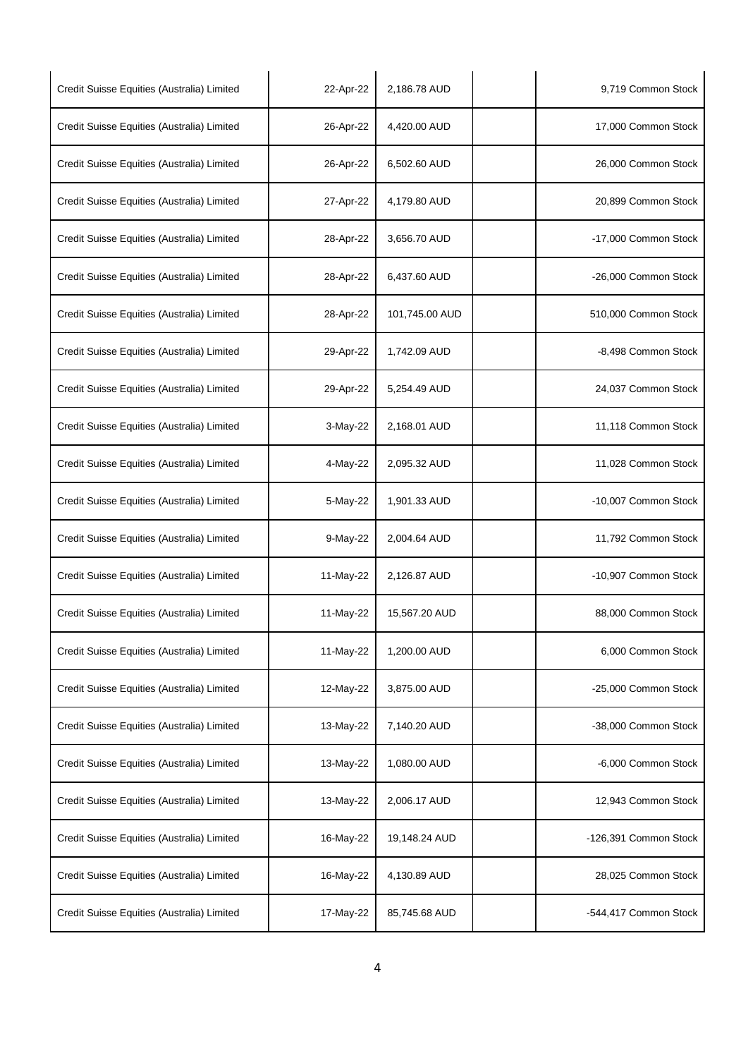| Credit Suisse Equities (Australia) Limited | 22-Apr-22 | 2,186.78 AUD   | 9,719 Common Stock    |
|--------------------------------------------|-----------|----------------|-----------------------|
| Credit Suisse Equities (Australia) Limited | 26-Apr-22 | 4,420.00 AUD   | 17,000 Common Stock   |
| Credit Suisse Equities (Australia) Limited | 26-Apr-22 | 6,502.60 AUD   | 26,000 Common Stock   |
| Credit Suisse Equities (Australia) Limited | 27-Apr-22 | 4,179.80 AUD   | 20,899 Common Stock   |
| Credit Suisse Equities (Australia) Limited | 28-Apr-22 | 3,656.70 AUD   | -17,000 Common Stock  |
| Credit Suisse Equities (Australia) Limited | 28-Apr-22 | 6,437.60 AUD   | -26,000 Common Stock  |
| Credit Suisse Equities (Australia) Limited | 28-Apr-22 | 101,745.00 AUD | 510,000 Common Stock  |
| Credit Suisse Equities (Australia) Limited | 29-Apr-22 | 1,742.09 AUD   | -8,498 Common Stock   |
| Credit Suisse Equities (Australia) Limited | 29-Apr-22 | 5,254.49 AUD   | 24,037 Common Stock   |
| Credit Suisse Equities (Australia) Limited | 3-May-22  | 2,168.01 AUD   | 11,118 Common Stock   |
| Credit Suisse Equities (Australia) Limited | 4-May-22  | 2,095.32 AUD   | 11,028 Common Stock   |
| Credit Suisse Equities (Australia) Limited | 5-May-22  | 1,901.33 AUD   | -10,007 Common Stock  |
| Credit Suisse Equities (Australia) Limited | 9-May-22  | 2,004.64 AUD   | 11,792 Common Stock   |
| Credit Suisse Equities (Australia) Limited | 11-May-22 | 2,126.87 AUD   | -10,907 Common Stock  |
| Credit Suisse Equities (Australia) Limited | 11-May-22 | 15,567.20 AUD  | 88,000 Common Stock   |
| Credit Suisse Equities (Australia) Limited | 11-May-22 | 1,200.00 AUD   | 6,000 Common Stock    |
| Credit Suisse Equities (Australia) Limited | 12-May-22 | 3,875.00 AUD   | -25,000 Common Stock  |
| Credit Suisse Equities (Australia) Limited | 13-May-22 | 7,140.20 AUD   | -38,000 Common Stock  |
| Credit Suisse Equities (Australia) Limited | 13-May-22 | 1,080.00 AUD   | -6,000 Common Stock   |
| Credit Suisse Equities (Australia) Limited | 13-May-22 | 2,006.17 AUD   | 12,943 Common Stock   |
| Credit Suisse Equities (Australia) Limited | 16-May-22 | 19,148.24 AUD  | -126,391 Common Stock |
| Credit Suisse Equities (Australia) Limited | 16-May-22 | 4,130.89 AUD   | 28,025 Common Stock   |
| Credit Suisse Equities (Australia) Limited | 17-May-22 | 85,745.68 AUD  | -544,417 Common Stock |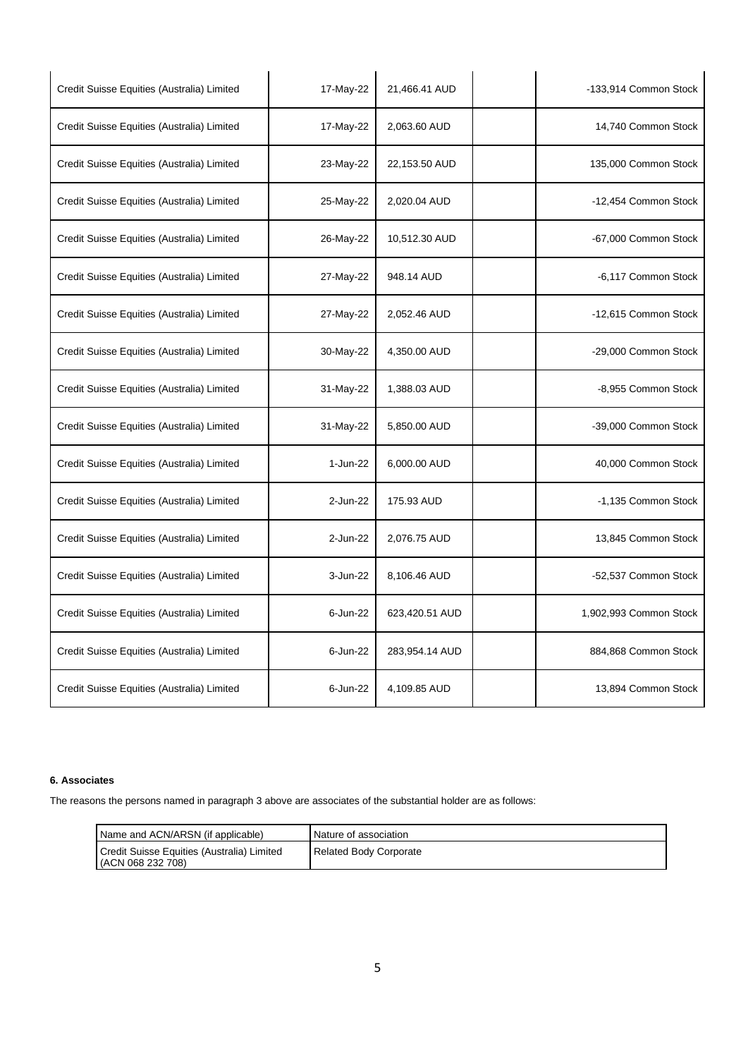| Credit Suisse Equities (Australia) Limited | 17-May-22 | 21,466.41 AUD  | -133,914 Common Stock  |
|--------------------------------------------|-----------|----------------|------------------------|
| Credit Suisse Equities (Australia) Limited | 17-May-22 | 2,063.60 AUD   | 14,740 Common Stock    |
| Credit Suisse Equities (Australia) Limited | 23-May-22 | 22,153.50 AUD  | 135,000 Common Stock   |
| Credit Suisse Equities (Australia) Limited | 25-May-22 | 2,020.04 AUD   | -12,454 Common Stock   |
| Credit Suisse Equities (Australia) Limited | 26-May-22 | 10,512.30 AUD  | -67,000 Common Stock   |
| Credit Suisse Equities (Australia) Limited | 27-May-22 | 948.14 AUD     | -6,117 Common Stock    |
| Credit Suisse Equities (Australia) Limited | 27-May-22 | 2,052.46 AUD   | -12,615 Common Stock   |
| Credit Suisse Equities (Australia) Limited | 30-May-22 | 4,350.00 AUD   | -29,000 Common Stock   |
| Credit Suisse Equities (Australia) Limited | 31-May-22 | 1,388.03 AUD   | -8,955 Common Stock    |
| Credit Suisse Equities (Australia) Limited | 31-May-22 | 5,850.00 AUD   | -39,000 Common Stock   |
| Credit Suisse Equities (Australia) Limited | 1-Jun-22  | 6,000.00 AUD   | 40,000 Common Stock    |
| Credit Suisse Equities (Australia) Limited | 2-Jun-22  | 175.93 AUD     | -1,135 Common Stock    |
| Credit Suisse Equities (Australia) Limited | 2-Jun-22  | 2,076.75 AUD   | 13,845 Common Stock    |
| Credit Suisse Equities (Australia) Limited | 3-Jun-22  | 8,106.46 AUD   | -52,537 Common Stock   |
| Credit Suisse Equities (Australia) Limited | 6-Jun-22  | 623,420.51 AUD | 1,902,993 Common Stock |
| Credit Suisse Equities (Australia) Limited | 6-Jun-22  | 283,954.14 AUD | 884,868 Common Stock   |
| Credit Suisse Equities (Australia) Limited | 6-Jun-22  | 4,109.85 AUD   | 13,894 Common Stock    |

## **6. Associates**

The reasons the persons named in paragraph 3 above are associates of the substantial holder are as follows:

| Name and ACN/ARSN (if applicable)                               | Nature of association  |
|-----------------------------------------------------------------|------------------------|
| Credit Suisse Equities (Australia) Limited<br>(ACN 068 232 708) | Related Body Corporate |